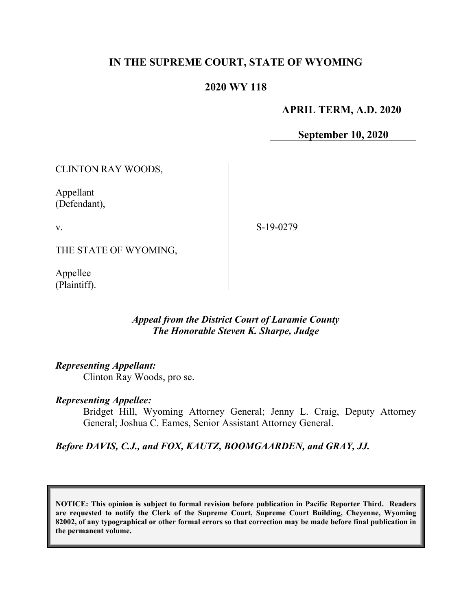# **IN THE SUPREME COURT, STATE OF WYOMING**

## **2020 WY 118**

#### **APRIL TERM, A.D. 2020**

**September 10, 2020**

CLINTON RAY WOODS, Appellant (Defendant), v. THE STATE OF WYOMING, S-19-0279

Appellee (Plaintiff).

# *Appeal from the District Court of Laramie County The Honorable Steven K. Sharpe, Judge*

#### *Representing Appellant:*

Clinton Ray Woods, pro se.

#### *Representing Appellee:*

Bridget Hill, Wyoming Attorney General; Jenny L. Craig, Deputy Attorney General; Joshua C. Eames, Senior Assistant Attorney General.

*Before DAVIS, C.J., and FOX, KAUTZ, BOOMGAARDEN, and GRAY, JJ.*

**NOTICE: This opinion is subject to formal revision before publication in Pacific Reporter Third. Readers are requested to notify the Clerk of the Supreme Court, Supreme Court Building, Cheyenne, Wyoming 82002, of any typographical or other formal errors so that correction may be made before final publication in the permanent volume.**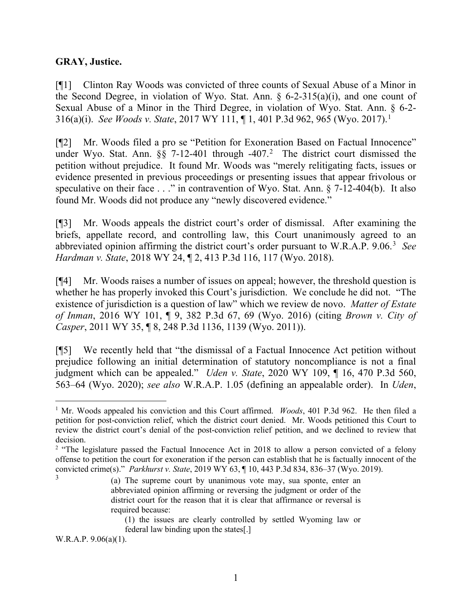### **GRAY, Justice.**

[¶1] Clinton Ray Woods was convicted of three counts of Sexual Abuse of a Minor in the Second Degree, in violation of Wyo. Stat. Ann.  $\S$  6-2-315(a)(i), and one count of Sexual Abuse of a Minor in the Third Degree, in violation of Wyo. Stat. Ann. § 6-2- 316(a)(i). *See Woods v. State*, 2017 WY 111, ¶ 1, 401 P.3d 962, 965 (Wyo. 2017). [1](#page-1-0)

[¶2] Mr. Woods filed a pro se "Petition for Exoneration Based on Factual Innocence" under Wyo. Stat. Ann.  $\S$ § 7-1[2](#page-1-1)-401 through -407.<sup>2</sup> The district court dismissed the petition without prejudice. It found Mr. Woods was "merely relitigating facts, issues or evidence presented in previous proceedings or presenting issues that appear frivolous or speculative on their face . . ." in contravention of Wyo. Stat. Ann. § 7-12-404(b). It also found Mr. Woods did not produce any "newly discovered evidence."

[¶3] Mr. Woods appeals the district court's order of dismissal. After examining the briefs, appellate record, and controlling law, this Court unanimously agreed to an abbreviated opinion affirming the district court's order pursuant to W.R.A.P. 9.06.[3](#page-1-2) *See Hardman v. State*, 2018 WY 24, ¶ 2, 413 P.3d 116, 117 (Wyo. 2018).

[¶4] Mr. Woods raises a number of issues on appeal; however, the threshold question is whether he has properly invoked this Court's jurisdiction. We conclude he did not. "The existence of jurisdiction is a question of law" which we review de novo. *Matter of Estate of Inman*, 2016 WY 101, ¶ 9, 382 P.3d 67, 69 (Wyo. 2016) (citing *Brown v. City of Casper*, 2011 WY 35, ¶ 8, 248 P.3d 1136, 1139 (Wyo. 2011)).

[¶5] We recently held that "the dismissal of a Factual Innocence Act petition without prejudice following an initial determination of statutory noncompliance is not a final judgment which can be appealed." *Uden v. State*, 2020 WY 109, ¶ 16, 470 P.3d 560, 563–64 (Wyo. 2020); *see also* W.R.A.P. 1.05 (defining an appealable order). In *Uden*,

W.R.A.P. 9.06(a)(1).

<span id="page-1-0"></span><sup>&</sup>lt;sup>1</sup> Mr. Woods appealed his conviction and this Court affirmed. *Woods*, 401 P.3d 962. He then filed a petition for post-conviction relief, which the district court denied. Mr. Woods petitioned this Court to review the district court's denial of the post-conviction relief petition, and we declined to review that decision.<br><sup>2</sup> "The legislature passed the Factual Innocence Act in 2018 to allow a person convicted of a felony

<span id="page-1-2"></span><span id="page-1-1"></span>offense to petition the court for exoneration if the person can establish that he is factually innocent of the convicted crime(s)." *Parkhurst v. State*, 2019 WY 63, ¶ 10, 443 P.3d 834, 836–37 (Wyo. 2019).

<sup>(</sup>a) The supreme court by unanimous vote may, sua sponte, enter an abbreviated opinion affirming or reversing the judgment or order of the district court for the reason that it is clear that affirmance or reversal is required because:

<sup>(1)</sup> the issues are clearly controlled by settled Wyoming law or federal law binding upon the states[.]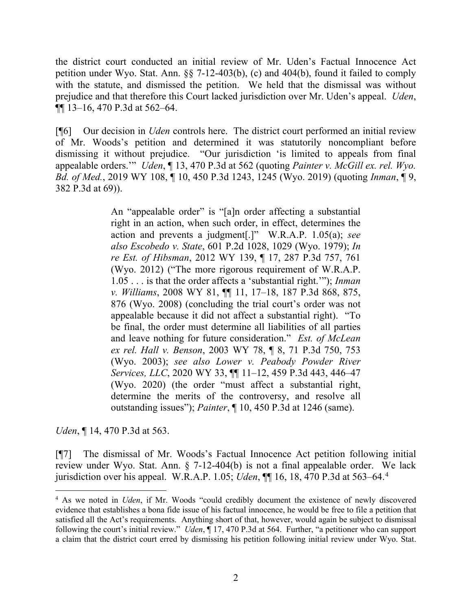the district court conducted an initial review of Mr. Uden's Factual Innocence Act petition under Wyo. Stat. Ann. §§ 7-12-403(b), (c) and 404(b), found it failed to comply with the statute, and dismissed the petition. We held that the dismissal was without prejudice and that therefore this Court lacked jurisdiction over Mr. Uden's appeal. *Uden*, ¶¶ 13–16, 470 P.3d at 562–64.

[¶6] Our decision in *Uden* controls here. The district court performed an initial review of Mr. Woods's petition and determined it was statutorily noncompliant before dismissing it without prejudice. "Our jurisdiction 'is limited to appeals from final appealable orders.'" *Uden*, ¶ 13, 470 P.3d at 562 (quoting *Painter v. McGill ex. rel. Wyo. Bd. of Med.*, 2019 WY 108, ¶ 10, 450 P.3d 1243, 1245 (Wyo. 2019) (quoting *Inman*, ¶ 9, 382 P.3d at 69)).

> An "appealable order" is "[a]n order affecting a substantial right in an action, when such order, in effect, determines the action and prevents a judgment[.]" W.R.A.P. 1.05(a); *see also Escobedo v. State*, 601 P.2d 1028, 1029 (Wyo. 1979); *In re Est. of Hibsman*, 2012 WY 139, ¶ 17, 287 P.3d 757, 761 (Wyo. 2012) ("The more rigorous requirement of W.R.A.P. 1.05 . . . is that the order affects a 'substantial right.'"); *Inman v. Williams*, 2008 WY 81, ¶¶ 11, 17–18, 187 P.3d 868, 875, 876 (Wyo. 2008) (concluding the trial court's order was not appealable because it did not affect a substantial right). "To be final, the order must determine all liabilities of all parties and leave nothing for future consideration." *Est. of McLean ex rel. Hall v. Benson*, 2003 WY 78, ¶ 8, 71 P.3d 750, 753 (Wyo. 2003); *see also Lower v. Peabody Powder River Services, LLC*, 2020 WY 33, ¶¶ 11–12, 459 P.3d 443, 446–47 (Wyo. 2020) (the order "must affect a substantial right, determine the merits of the controversy, and resolve all outstanding issues"); *Painter*, ¶ 10, 450 P.3d at 1246 (same).

*Uden*, ¶ 14, 470 P.3d at 563.

[¶7] The dismissal of Mr. Woods's Factual Innocence Act petition following initial review under Wyo. Stat. Ann. § 7-12-404(b) is not a final appealable order. We lack jurisdiction over his appeal. W.R.A.P. 1.05; *Uden*, ¶¶ 16, 18, 470 P.3d at 563–64. [4](#page-2-0)

<span id="page-2-0"></span><sup>4</sup> As we noted in *Uden*, if Mr. Woods "could credibly document the existence of newly discovered evidence that establishes a bona fide issue of his factual innocence, he would be free to file a petition that satisfied all the Act's requirements. Anything short of that, however, would again be subject to dismissal following the court's initial review." *Uden*, ¶ 17, 470 P.3d at 564. Further, "a petitioner who can support a claim that the district court erred by dismissing his petition following initial review under Wyo. Stat.